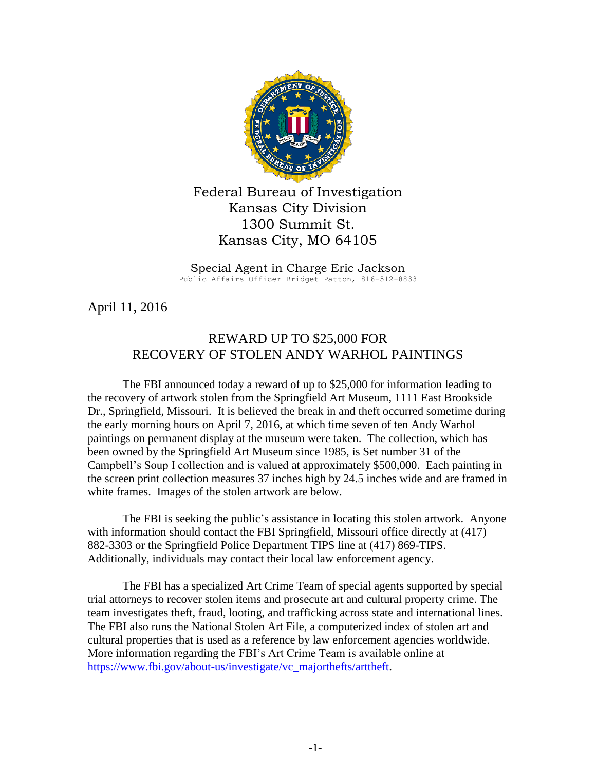

Federal Bureau of Investigation Kansas City Division 1300 Summit St. Kansas City, MO 64105

Special Agent in Charge Eric Jackson Public Affairs Officer Bridget Patton, 816-512-8833

April 11, 2016

## REWARD UP TO \$25,000 FOR RECOVERY OF STOLEN ANDY WARHOL PAINTINGS

The FBI announced today a reward of up to \$25,000 for information leading to the recovery of artwork stolen from the Springfield Art Museum, 1111 East Brookside Dr., Springfield, Missouri. It is believed the break in and theft occurred sometime during the early morning hours on April 7, 2016, at which time seven of ten Andy Warhol paintings on permanent display at the museum were taken. The collection, which has been owned by the Springfield Art Museum since 1985, is Set number 31 of the Campbell's Soup I collection and is valued at approximately \$500,000. Each painting in the screen print collection measures 37 inches high by 24.5 inches wide and are framed in white frames. Images of the stolen artwork are below.

The FBI is seeking the public's assistance in locating this stolen artwork. Anyone with information should contact the FBI Springfield, Missouri office directly at (417) 882-3303 or the Springfield Police Department TIPS line at (417) 869-TIPS. Additionally, individuals may contact their local law enforcement agency.

The FBI has a specialized Art Crime Team of special agents supported by special trial attorneys to recover stolen items and prosecute art and cultural property crime. The team investigates theft, fraud, looting, and trafficking across state and international lines. The FBI also runs the National Stolen Art File, a computerized index of stolen art and cultural properties that is used as a reference by law enforcement agencies worldwide. More information regarding the FBI's Art Crime Team is available online at [https://www.fbi.gov/about-us/investigate/vc\\_majorthefts/arttheft.](https://www.fbi.gov/about-us/investigate/vc_majorthefts/arttheft)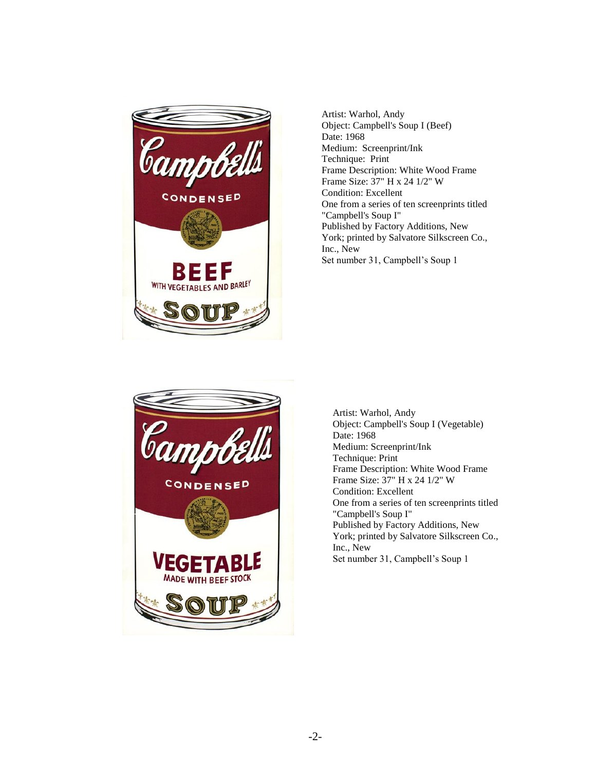

Artist: Warhol, Andy Object: Campbell's Soup I (Beef) Date: 1968 Medium: Screenprint/Ink Technique: Print Frame Description: White Wood Frame Frame Size: 37" H x 24 1/2" W Condition: Excellent One from a series of ten screenprints titled "Campbell's Soup I" Published by Factory Additions, New York; printed by Salvatore Silkscreen Co., Inc., New Set number 31, Campbell's Soup 1



Artist: Warhol, Andy Object: Campbell's Soup I (Vegetable) Date: 1968 Medium: Screenprint/Ink Technique: Print Frame Description: White Wood Frame Frame Size: 37" H x 24 1/2" W Condition: Excellent One from a series of ten screenprints titled "Campbell's Soup I" Published by Factory Additions, New York; printed by Salvatore Silkscreen Co., Inc., New Set number 31, Campbell's Soup 1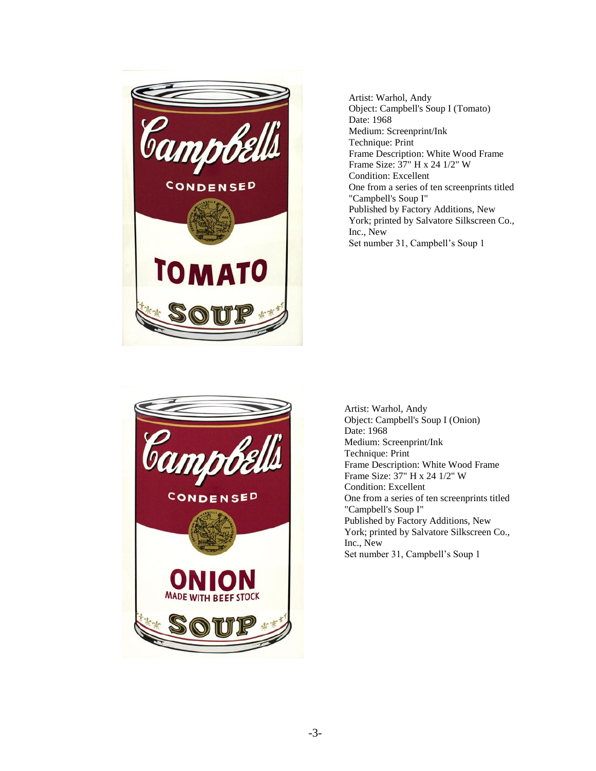

Artist: Warhol, Andy Object: Campbell's Soup I (Tomato) Date: 1968 Medium: Screenprint/Ink Technique: Print Frame Description: White Wood Frame Frame Size: 37" H x 24 1/2" W Condition: Excellent One from a series of ten screenprints titled "Campbell's Soup I" Published by Factory Additions, New York; printed by Salvatore Silkscreen Co., Inc., New Set number 31, Campbell's Soup 1



Artist: Warhol, Andy Object: Campbell's Soup I (Onion) Date: 1968 Medium: Screenprint/Ink Technique: Print Frame Description: White Wood Frame Frame Size: 37" H x 24 1/2" W Condition: Excellent One from a series of ten screenprints titled "Campbell's Soup I" Published by Factory Additions, New York; printed by Salvatore Silkscreen Co., Inc., New Set number 31, Campbell's Soup 1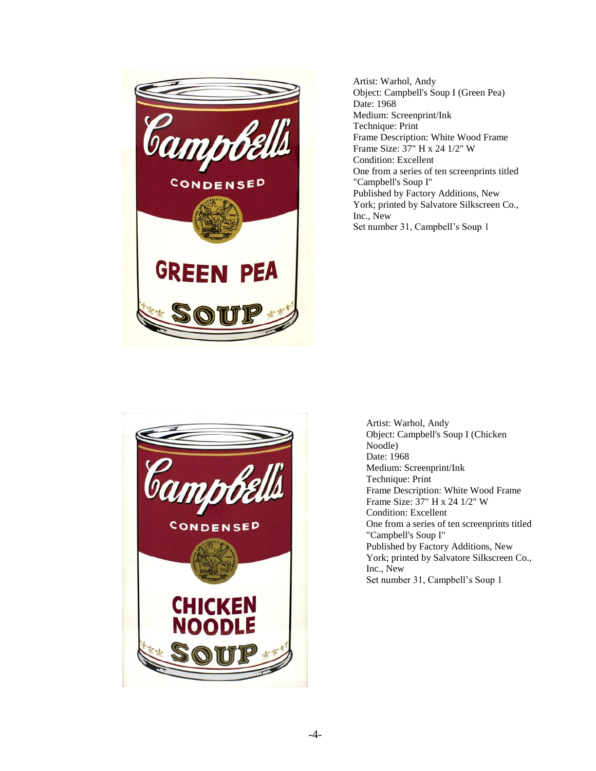

Artist: Warhol, Andy Object: Campbell's Soup I (Green Pea) Date: 1968 Medium: Screenprint/Ink Technique: Print Frame Description: White Wood Frame Frame Size: 37" H x 24 1/2" W Condition: Excellent One from a series of ten screenprints titled "Campbell's Soup I" Published by Factory Additions, New York; printed by Salvatore Silkscreen Co., Inc., New Set number 31, Campbell's Soup 1



Artist: Warhol, Andy Object: Campbell's Soup I (Chicken Noodle) Date: 1968 Medium: Screenprint/Ink Technique: Print Frame Description: White Wood Frame Frame Size: 37" H x 24 1/2" W Condition: Excellent One from a series of ten screenprints titled "Campbell's Soup I" Published by Factory Additions, New York; printed by Salvatore Silkscreen Co., Inc., New Set number 31, Campbell's Soup 1